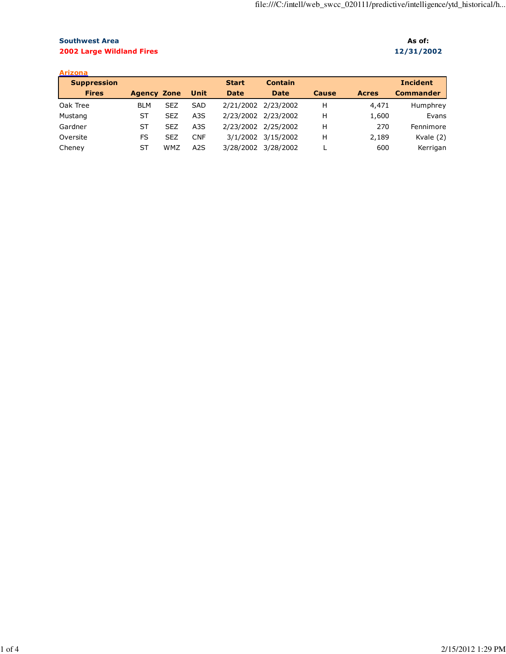## Southwest Area As of: As of: As of: As of: As of: As of: As of: As of: As of: As of: As of: As of: As of: As of: As of: As of: As of: As of: As of: As of: As of: As of: As of: As of: As of: As of: As of: As of: As of: As o 2002 Large Wildland Fires 12/31/2002

| <b>Arizona</b>     |                    |            |                  |              |                     |              |              |                  |
|--------------------|--------------------|------------|------------------|--------------|---------------------|--------------|--------------|------------------|
| <b>Suppression</b> |                    |            |                  | <b>Start</b> | <b>Contain</b>      |              |              | <b>Incident</b>  |
| <b>Fires</b>       | <b>Agency Zone</b> |            | Unit             | <b>Date</b>  | <b>Date</b>         | <b>Cause</b> | <b>Acres</b> | <b>Commander</b> |
| Oak Tree           | <b>BLM</b>         | <b>SEZ</b> | <b>SAD</b>       |              | 2/21/2002 2/23/2002 | н            | 4,471        | Humphrey         |
| Mustang            | ST                 | <b>SEZ</b> | A <sub>3</sub> S |              | 2/23/2002 2/23/2002 | н            | 1,600        | Evans            |
| Gardner            | ST                 | <b>SEZ</b> | A <sub>3</sub> S |              | 2/23/2002 2/25/2002 | н            | 270          | Fennimore        |
| Oversite           | FS                 | <b>SEZ</b> | <b>CNF</b>       | 3/1/2002     | 3/15/2002           | н            | 2,189        | Kvale (2)        |
| Cheney             | ST                 | <b>WMZ</b> | A <sub>2</sub> S | 3/28/2002    | 3/28/2002           |              | 600          | Kerrigan         |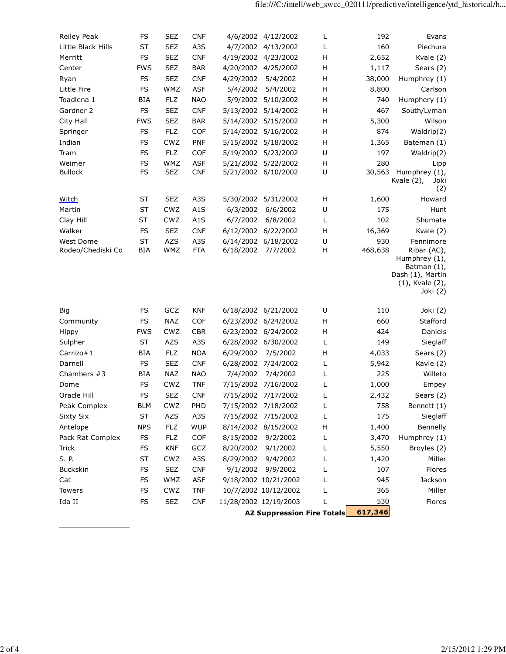| Reiley Peak              | FS         | <b>SEZ</b>        | <b>CNF</b>               |                       | 4/6/2002 4/12/2002               | L                                 | 192           | Evans                                                                                                   |
|--------------------------|------------|-------------------|--------------------------|-----------------------|----------------------------------|-----------------------------------|---------------|---------------------------------------------------------------------------------------------------------|
| Little Black Hills       | ST         | <b>SEZ</b>        | A3S                      |                       | 4/7/2002 4/13/2002               | L                                 | 160           | Piechura                                                                                                |
| Merritt                  | FS         | <b>SEZ</b>        | <b>CNF</b>               |                       | 4/19/2002 4/23/2002              | н                                 | 2,652         | Kvale (2)                                                                                               |
| Center                   | <b>FWS</b> | <b>SEZ</b>        | <b>BAR</b>               | 4/20/2002             | 4/25/2002                        | Н                                 | 1,117         | Sears (2)                                                                                               |
| Ryan                     | FS         | <b>SEZ</b>        | <b>CNF</b>               | 4/29/2002             | 5/4/2002                         | Н                                 | 38,000        | Humphrey (1)                                                                                            |
| Little Fire              | FS         | WMZ               | <b>ASF</b>               | 5/4/2002              | 5/4/2002                         | Н                                 | 8,800         | Carlson                                                                                                 |
| Toadlena 1               | BIA        | <b>FLZ</b>        | <b>NAO</b>               |                       | 5/9/2002 5/10/2002               | Н                                 | 740           | Humphery (1)                                                                                            |
| Gardner 2                | FS         | <b>SEZ</b>        | <b>CNF</b>               |                       | 5/13/2002 5/14/2002              | Н                                 | 467           | South/Lyman                                                                                             |
| City Hall                | <b>FWS</b> | <b>SEZ</b>        | <b>BAR</b>               |                       | 5/14/2002 5/15/2002              | Н                                 | 5,300         | Wilson                                                                                                  |
| Springer                 | FS         | <b>FLZ</b>        | <b>COF</b>               | 5/14/2002             | 5/16/2002                        | Н                                 | 874           | Waldrip(2)                                                                                              |
| Indian                   | FS         | CWZ               | <b>PNF</b>               | 5/15/2002             | 5/18/2002                        | Н                                 | 1,365         | Bateman (1)                                                                                             |
| Tram                     | FS         | <b>FLZ</b>        | COF                      | 5/19/2002             | 5/23/2002                        | $\sf U$                           | 197           | Waldrip(2)                                                                                              |
| Weimer<br><b>Bullock</b> | FS<br>FS   | WMZ<br><b>SEZ</b> | <b>ASF</b><br><b>CNF</b> | 5/21/2002             | 5/22/2002<br>5/21/2002 6/10/2002 | Н<br>U                            | 280<br>30,563 | Lipp<br>Humphrey (1),<br>Kvale (2),<br>Joki<br>(2)                                                      |
| <b>Witch</b>             | ST         | <b>SEZ</b>        | A3S                      |                       | 5/30/2002 5/31/2002              | Н                                 | 1,600         | Howard                                                                                                  |
| Martin                   | ST         | CWZ               | A <sub>1</sub> S         | 6/3/2002              | 6/6/2002                         | U                                 | 175           | Hunt                                                                                                    |
| Clay Hill                | ST         | CWZ               | A1S                      | 6/7/2002              | 6/8/2002                         | L                                 | 102           | Shumate                                                                                                 |
| Walker                   | FS         | <b>SEZ</b>        | <b>CNF</b>               | 6/12/2002             | 6/22/2002                        | н                                 | 16,369        | Kvale (2)                                                                                               |
| West Dome                | ST         | <b>AZS</b>        | A3S                      | 6/14/2002             | 6/18/2002                        | $\sf U$                           | 930           | Fennimore                                                                                               |
| Rodeo/Chediski Co        | <b>BIA</b> | WMZ               | <b>FTA</b>               | 6/18/2002             | 7/7/2002                         | Н                                 | 468,638       | Ribar (AC),<br>Humphrey $(1)$ ,<br>Batman (1),<br>Dash (1), Martin<br>$(1)$ , Kvale $(2)$ ,<br>Joki (2) |
| Big                      | FS         | GCZ               | <b>KNF</b>               |                       | 6/18/2002 6/21/2002              | U                                 | 110           | Joki (2)                                                                                                |
| Community                | FS         | <b>NAZ</b>        | <b>COF</b>               |                       | 6/23/2002 6/24/2002              | Н                                 | 660           | Stafford                                                                                                |
| Hippy                    | <b>FWS</b> | CWZ               | <b>CBR</b>               |                       | 6/23/2002 6/24/2002              | Н                                 | 424           | Daniels                                                                                                 |
| Sulpher                  | ST         | AZS               | A3S                      |                       | 6/28/2002 6/30/2002              | L                                 | 149           | Sieglaff                                                                                                |
| Carrizo#1                | BIA        | <b>FLZ</b>        | <b>NOA</b>               | 6/29/2002             | 7/5/2002                         | Н                                 | 4,033         | Sears (2)                                                                                               |
| Darnell                  | FS         | <b>SEZ</b>        | <b>CNF</b>               |                       | 6/28/2002 7/24/2002              | L                                 | 5,942         | Kavle (2)                                                                                               |
| Chambers #3              | BIA        | <b>NAZ</b>        | <b>NAO</b>               | 7/4/2002              | 7/4/2002                         | L                                 | 225           | Willeto                                                                                                 |
| Dome                     | FS         | CWZ               | <b>TNF</b>               | 7/15/2002             | 7/16/2002                        | L                                 | 1,000         | Empey                                                                                                   |
| Oracle Hill              | FS         | <b>SEZ</b>        | <b>CNF</b>               |                       | 7/15/2002 7/17/2002              | L                                 | 2,432         | Sears (2)                                                                                               |
| Peak Complex             | <b>BLM</b> | CWZ               | PHD                      |                       | 7/15/2002 7/18/2002              | L                                 | 758           | Bennett (1)                                                                                             |
| Sixty Six                | ST         | AZS               | A3S                      |                       | 7/15/2002 7/15/2002              | L                                 | 175           | Sieglaff                                                                                                |
| Antelope                 | <b>NPS</b> | <b>FLZ</b>        | <b>WUP</b>               |                       | 8/14/2002 8/15/2002              | Н                                 | 1,400         | Bennelly                                                                                                |
| Pack Rat Complex         | FS         | <b>FLZ</b>        | COF                      | 8/15/2002             | 9/2/2002                         | L                                 | 3,470         | Humphrey (1)                                                                                            |
| Trick                    | FS         | <b>KNF</b>        | GCZ                      | 8/20/2002             | 9/1/2002                         | L                                 | 5,550         | Broyles (2)                                                                                             |
| S. P.                    | ST         | CWZ               | A3S                      | 8/29/2002             | 9/4/2002                         | L                                 | 1,420         | Miller                                                                                                  |
| Buckskin                 | FS         | <b>SEZ</b>        | <b>CNF</b>               | 9/1/2002              | 9/9/2002                         | L                                 | 107           | Flores                                                                                                  |
| Cat                      | FS         | WMZ               | <b>ASF</b>               |                       | 9/18/2002 10/21/2002             | L                                 | 945           | Jackson                                                                                                 |
| Towers                   | FS         | CWZ               | <b>TNF</b>               |                       | 10/7/2002 10/12/2002             |                                   | 365           | Miller                                                                                                  |
| Ida II                   | FS         | <b>SEZ</b>        | <b>CNF</b>               | 11/28/2002 12/19/2003 |                                  |                                   | 530           | Flores                                                                                                  |
|                          |            |                   |                          |                       |                                  | <b>AZ Suppression Fire Totals</b> | 617,346       |                                                                                                         |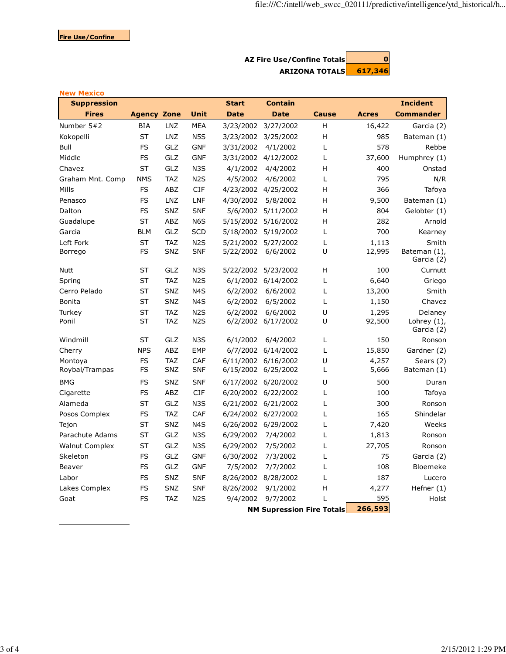## AZ Fire Use/Confine Totals**QUE CONVERT** ARIZONA TOTALS 617,346

| <b>New Mexico</b>     |                    |            |                  |              |                     |                                  |              |                              |
|-----------------------|--------------------|------------|------------------|--------------|---------------------|----------------------------------|--------------|------------------------------|
| <b>Suppression</b>    |                    |            |                  | <b>Start</b> | <b>Contain</b>      |                                  |              | <b>Incident</b>              |
| <b>Fires</b>          | <b>Agency Zone</b> |            | Unit             | <b>Date</b>  | <b>Date</b>         | <b>Cause</b>                     | <b>Acres</b> | <b>Commander</b>             |
| Number 5#2            | <b>BIA</b>         | <b>LNZ</b> | <b>MEA</b>       | 3/23/2002    | 3/27/2002           | н                                | 16,422       | Garcia (2)                   |
| Kokopelli             | <b>ST</b>          | <b>LNZ</b> | N <sub>5</sub> S | 3/23/2002    | 3/25/2002           | H                                | 985          | Bateman (1)                  |
| Bull                  | FS                 | GLZ        | <b>GNF</b>       | 3/31/2002    | 4/1/2002            | L                                | 578          | Rebbe                        |
| Middle                | FS                 | GLZ        | <b>GNF</b>       |              | 3/31/2002 4/12/2002 | L                                | 37,600       | Humphrey (1)                 |
| Chavez                | <b>ST</b>          | GLZ        | N <sub>3</sub> S | 4/1/2002     | 4/4/2002            | H                                | 400          | Onstad                       |
| Graham Mnt. Comp      | <b>NMS</b>         | <b>TAZ</b> | N <sub>2</sub> S | 4/5/2002     | 4/6/2002            | L                                | 795          | N/R                          |
| Mills                 | FS                 | ABZ        | <b>CIF</b>       |              | 4/23/2002 4/25/2002 | н                                | 366          | Tafoya                       |
| Penasco               | FS                 | <b>LNZ</b> | LNF              | 4/30/2002    | 5/8/2002            | H                                | 9,500        | Bateman (1)                  |
| Dalton                | FS                 | SNZ        | <b>SNF</b>       | 5/6/2002     | 5/11/2002           | H                                | 804          | Gelobter (1)                 |
| Guadalupe             | <b>ST</b>          | ABZ        | N <sub>6</sub> S |              | 5/15/2002 5/16/2002 | н                                | 282          | Arnold                       |
| Garcia                | <b>BLM</b>         | GLZ        | <b>SCD</b>       | 5/18/2002    | 5/19/2002           | L                                | 700          | Kearney                      |
| Left Fork             | <b>ST</b>          | <b>TAZ</b> | N <sub>2</sub> S | 5/21/2002    | 5/27/2002           | L                                | 1,113        | Smith                        |
| Borrego               | FS                 | <b>SNZ</b> | <b>SNF</b>       | 5/22/2002    | 6/6/2002            | U                                | 12,995       | Bateman (1),<br>Garcia (2)   |
| Nutt                  | <b>ST</b>          | GLZ        | N <sub>3</sub> S | 5/22/2002    | 5/23/2002           | H                                | 100          | Curnutt                      |
| Spring                | <b>ST</b>          | <b>TAZ</b> | N <sub>2</sub> S |              | 6/1/2002 6/14/2002  | Г                                | 6,640        | Griego                       |
| Cerro Pelado          | ST                 | <b>SNZ</b> | N <sub>4</sub> S | 6/2/2002     | 6/6/2002            | L                                | 13,200       | Smith                        |
| Bonita                | <b>ST</b>          | <b>SNZ</b> | N <sub>4</sub> S | 6/2/2002     | 6/5/2002            | L                                | 1,150        | Chavez                       |
| Turkey                | <b>ST</b>          | <b>TAZ</b> | N <sub>2</sub> S | 6/2/2002     | 6/6/2002            | U                                | 1,295        | Delaney                      |
| Ponil                 | <b>ST</b>          | <b>TAZ</b> | N <sub>2</sub> S | 6/2/2002     | 6/17/2002           | U                                | 92,500       | Lohrey $(1)$ ,<br>Garcia (2) |
| Windmill              | ST                 | GLZ        | N <sub>3</sub> S | 6/1/2002     | 6/4/2002            | Г                                | 150          | Ronson                       |
| Cherry                | <b>NPS</b>         | ABZ        | <b>EMP</b>       |              | 6/7/2002 6/14/2002  | L                                | 15,850       | Gardner (2)                  |
| Montova               | FS                 | <b>TAZ</b> | CAF              | 6/11/2002    | 6/16/2002           | U                                | 4,257        | Sears (2)                    |
| Roybal/Trampas        | FS                 | SNZ        | <b>SNF</b>       |              | 6/15/2002 6/25/2002 | Г                                | 5,666        | Bateman (1)                  |
| <b>BMG</b>            | FS                 | <b>SNZ</b> | <b>SNF</b>       |              | 6/17/2002 6/20/2002 | U                                | 500          | Duran                        |
| Cigarette             | FS                 | ABZ        | <b>CIF</b>       |              | 6/20/2002 6/22/2002 | L                                | 100          | Tafoya                       |
| Alameda               | ST                 | GLZ        | N <sub>3</sub> S |              | 6/21/2002 6/21/2002 | L                                | 300          | Ronson                       |
| Posos Complex         | FS                 | <b>TAZ</b> | CAF              |              | 6/24/2002 6/27/2002 | L                                | 165          | Shindelar                    |
| Tejon                 | <b>ST</b>          | <b>SNZ</b> | N <sub>4</sub> S |              | 6/26/2002 6/29/2002 | Г                                | 7,420        | Weeks                        |
| Parachute Adams       | ST                 | GLZ        | N <sub>3</sub> S | 6/29/2002    | 7/4/2002            | Г                                | 1,813        | Ronson                       |
| <b>Walnut Complex</b> | <b>ST</b>          | GLZ        | N <sub>3</sub> S | 6/29/2002    | 7/5/2002            | L                                | 27,705       | Ronson                       |
| Skeleton              | FS                 | GLZ        | <b>GNF</b>       | 6/30/2002    | 7/3/2002            | L                                | 75           | Garcia (2)                   |
| Beaver                | FS                 | GLZ        | <b>GNF</b>       | 7/5/2002     | 7/7/2002            | L                                | 108          | Bloemeke                     |
| Labor                 | FS                 | <b>SNZ</b> | <b>SNF</b>       |              | 8/26/2002 8/28/2002 | L                                | 187          | Lucero                       |
| Lakes Complex         | FS                 | <b>SNZ</b> | <b>SNF</b>       | 8/26/2002    | 9/1/2002            | н                                | 4,277        | Hefner (1)                   |
| Goat                  | FS                 | <b>TAZ</b> | N <sub>2</sub> S | 9/4/2002     | 9/7/2002            | L                                | 595          | Holst                        |
|                       |                    |            |                  |              |                     | <b>NM Supression Fire Totals</b> | 266,593      |                              |